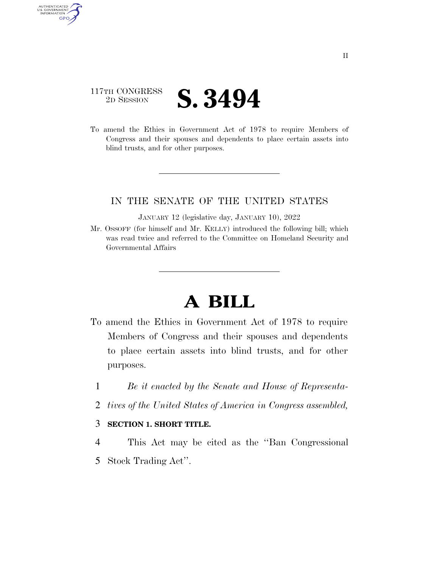## 117TH CONGRESS <sup>2D SESSION</sup> **S. 3494**

AUTHENTICATED<br>U.S. GOVERNMENT<br>INFORMATION

**GPO** 

To amend the Ethics in Government Act of 1978 to require Members of Congress and their spouses and dependents to place certain assets into blind trusts, and for other purposes.

## IN THE SENATE OF THE UNITED STATES

JANUARY 12 (legislative day, JANUARY 10), 2022

Mr. OSSOFF (for himself and Mr. KELLY) introduced the following bill; which was read twice and referred to the Committee on Homeland Security and Governmental Affairs

## **A BILL**

- To amend the Ethics in Government Act of 1978 to require Members of Congress and their spouses and dependents to place certain assets into blind trusts, and for other purposes.
	- 1 *Be it enacted by the Senate and House of Representa-*
	- 2 *tives of the United States of America in Congress assembled,*

## 3 **SECTION 1. SHORT TITLE.**

4 This Act may be cited as the ''Ban Congressional 5 Stock Trading Act''.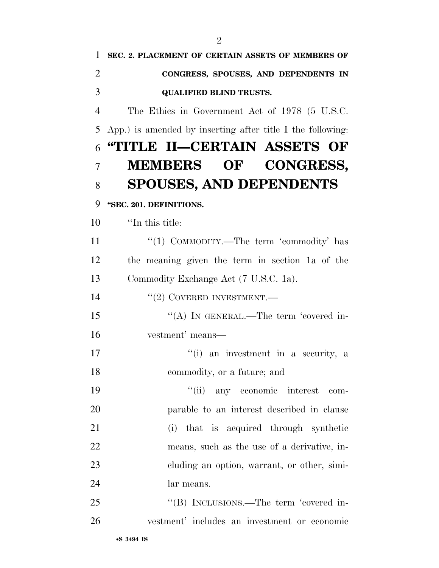| 1              | SEC. 2. PLACEMENT OF CERTAIN ASSETS OF MEMBERS OF          |
|----------------|------------------------------------------------------------|
| $\overline{2}$ | CONGRESS, SPOUSES, AND DEPENDENTS IN                       |
| 3              | <b>QUALIFIED BLIND TRUSTS.</b>                             |
| $\overline{4}$ | The Ethics in Government Act of 1978 (5 U.S.C.             |
| 5              | App.) is amended by inserting after title I the following: |
| 6              | "TITLE II—CERTAIN ASSETS OF                                |
| 7              | MEMBERS OF CONGRESS,                                       |
| 8              | <b>SPOUSES, AND DEPENDENTS</b>                             |
| 9              | "SEC. 201. DEFINITIONS.                                    |
| 10             | "In this title:                                            |
| 11             | "(1) COMMODITY.—The term 'commodity' has                   |
| 12             | the meaning given the term in section 1a of the            |
| 13             | Commodity Exchange Act (7 U.S.C. 1a).                      |
| 14             | $``(2)$ COVERED INVESTMENT.—                               |
| 15             | "(A) IN GENERAL.—The term 'covered in-                     |
| 16             | vestment' means—                                           |
| 17             | "(i) an investment in a security, a                        |
| 18             | commodity, or a future; and                                |
| 19             | ``(ii)<br>any economic interest<br>com-                    |
| 20             | parable to an interest described in clause                 |
| 21             | (i) that is acquired through synthetic                     |
| 22             | means, such as the use of a derivative, in-                |

- lar means.
- 25 "(B) INCLUSIONS.—The term 'covered in-vestment' includes an investment or economic

cluding an option, warrant, or other, simi-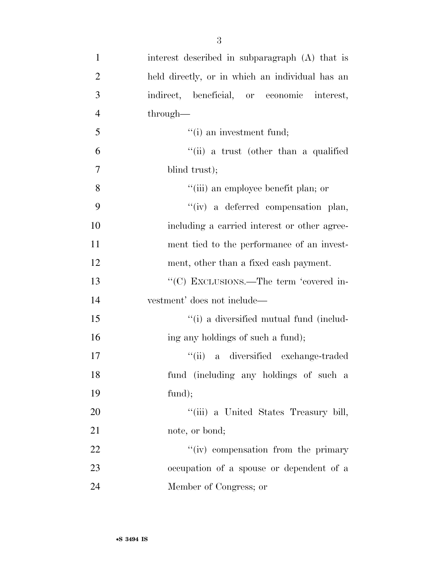| $\mathbf{1}$   | interest described in subparagraph (A) that is  |
|----------------|-------------------------------------------------|
| $\overline{2}$ | held directly, or in which an individual has an |
| 3              | indirect, beneficial, or economic interest,     |
| $\overline{4}$ | through—                                        |
| 5              | $f(i)$ an investment fund;                      |
| 6              | "(ii) a trust (other than a qualified           |
| $\tau$         | blind trust);                                   |
| 8              | "(iii) an employee benefit plan; or             |
| 9              | "(iv) a deferred compensation plan,             |
| 10             | including a carried interest or other agree-    |
| 11             | ment tied to the performance of an invest-      |
| 12             | ment, other than a fixed cash payment.          |
| 13             | "(C) EXCLUSIONS.—The term 'covered in-          |
| 14             | vestment' does not include—                     |
| 15             | "(i) a diversified mutual fund (includ-         |
| 16             | ing any holdings of such a fund);               |
| 17             | "(ii) a diversified exchange-traded             |
| 18             | fund (including any holdings of such a          |
| 19             | fund);                                          |
| 20             | "(iii) a United States Treasury bill,           |
| 21             | note, or bond;                                  |
| 22             | "(iv) compensation from the primary             |
| 23             | occupation of a spouse or dependent of a        |
|                |                                                 |

Member of Congress; or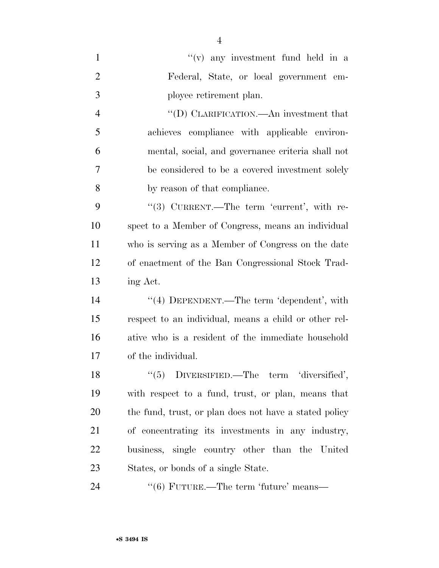| $\mathbf{1}$   | $f'(v)$ any investment fund held in a                  |
|----------------|--------------------------------------------------------|
| $\overline{2}$ | Federal, State, or local government em-                |
| 3              | ployee retirement plan.                                |
| $\overline{4}$ | "(D) CLARIFICATION.—An investment that                 |
| 5              | achieves compliance with applicable environ-           |
| 6              | mental, social, and governance criteria shall not      |
| 7              | be considered to be a covered investment solely        |
| 8              | by reason of that compliance.                          |
| 9              | $(3)$ CURRENT.—The term 'current', with re-            |
| 10             | spect to a Member of Congress, means an individual     |
| 11             | who is serving as a Member of Congress on the date     |
| 12             | of enactment of the Ban Congressional Stock Trad-      |
| 13             | ing Act.                                               |
| 14             | "(4) DEPENDENT.—The term 'dependent', with             |
| 15             | respect to an individual, means a child or other rel-  |
| 16             | ative who is a resident of the immediate household     |
| 17             | of the individual.                                     |
| 18             | $\lq(5)$ DIVERSIFIED.—The term 'diversified',          |
| 19             | with respect to a fund, trust, or plan, means that     |
| <b>20</b>      | the fund, trust, or plan does not have a stated policy |
| 21             | of concentrating its investments in any industry,      |
| 22             | business, single country other than the United         |
| 23             | States, or bonds of a single State.                    |
| 24             | $\cdot\cdot$ (6) FUTURE.—The term 'future' means—      |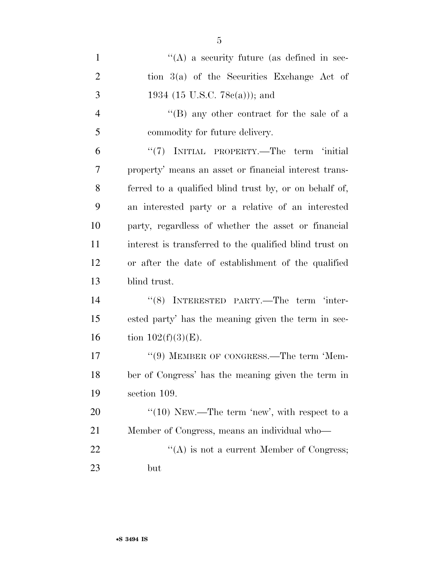| $\mathbf{1}$   | $\lq\lq$ a security future (as defined in sec-          |
|----------------|---------------------------------------------------------|
| $\overline{2}$ | tion 3(a) of the Securities Exchange Act of             |
| 3              | 1934 (15 U.S.C. 78 $e(a)$ )); and                       |
| $\overline{4}$ | "(B) any other contract for the sale of a               |
| 5              | commodity for future delivery.                          |
| 6              | "(7) INITIAL PROPERTY.—The term 'initial                |
| 7              | property' means an asset or financial interest trans-   |
| 8              | ferred to a qualified blind trust by, or on behalf of,  |
| 9              | an interested party or a relative of an interested      |
| 10             | party, regardless of whether the asset or financial     |
| 11             | interest is transferred to the qualified blind trust on |
| 12             | or after the date of establishment of the qualified     |
| 13             | blind trust.                                            |
| 14             | "(8) INTERESTED PARTY.—The term 'inter-                 |
| 15             | ested party' has the meaning given the term in sec-     |
| 16             | tion $102(f)(3)(E)$ .                                   |
| 17             | "(9) MEMBER OF CONGRESS.—The term 'Mem-                 |
| 18             | ber of Congress' has the meaning given the term in      |
| 19             | section 109.                                            |
| <b>20</b>      | "(10) NEW.—The term 'new', with respect to a            |
| 21             | Member of Congress, means an individual who—            |
| 22             | $\lq\lq$ is not a current Member of Congress;           |
| 23             | but                                                     |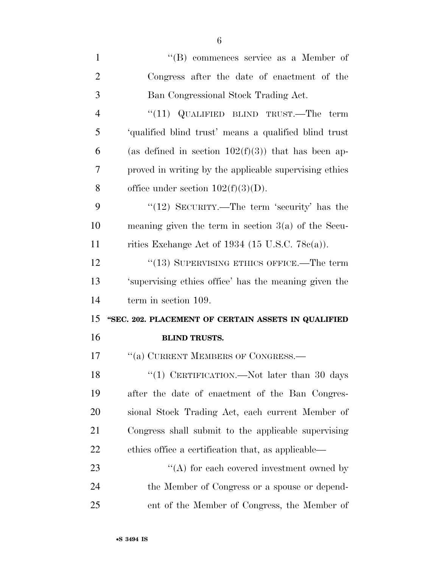| $\mathbf{1}$   | "(B) commences service as a Member of                  |
|----------------|--------------------------------------------------------|
| $\overline{2}$ | Congress after the date of enactment of the            |
| 3              | Ban Congressional Stock Trading Act.                   |
| 4              | " $(11)$ QUALIFIED BLIND TRUST.—The term               |
| 5              | 'qualified blind trust' means a qualified blind trust  |
| 6              | (as defined in section $102(f)(3)$ ) that has been ap- |
| 7              | proved in writing by the applicable supervising ethics |
| 8              | office under section $102(f)(3)(D)$ .                  |
| 9              | "(12) SECURITY.—The term 'security' has the            |
| 10             | meaning given the term in section $3(a)$ of the Secu-  |
| 11             | rities Exchange Act of 1934 (15 U.S.C. 78 $c(a)$ ).    |
| 12             | "(13) SUPERVISING ETHICS OFFICE.—The term              |
| 13             | 'supervising ethics office' has the meaning given the  |
| 14             | term in section 109.                                   |
| 15             | "SEC. 202. PLACEMENT OF CERTAIN ASSETS IN QUALIFIED    |
| 16             | <b>BLIND TRUSTS.</b>                                   |
| 17             | "(a) CURRENT MEMBERS OF CONGRESS.-                     |
| 18             | "(1) CERTIFICATION.—Not later than 30 days             |
| 19             | after the date of enactment of the Ban Congres-        |
| 20             | sional Stock Trading Act, each current Member of       |
| 21             | Congress shall submit to the applicable supervising    |
| <u>22</u>      | ethics office a certification that, as applicable—     |
| 23             | $\lq\lq$ for each covered investment owned by          |
| 24             | the Member of Congress or a spouse or depend-          |
| 25             | ent of the Member of Congress, the Member of           |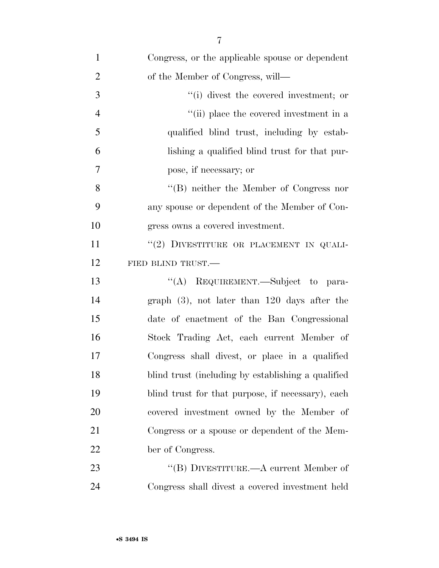| $\mathbf{1}$   | Congress, or the applicable spouse or dependent    |
|----------------|----------------------------------------------------|
| $\overline{2}$ | of the Member of Congress, will—                   |
| 3              | $f'(i)$ divest the covered investment; or          |
| $\overline{4}$ | "(ii) place the covered investment in a            |
| 5              | qualified blind trust, including by estab-         |
| 6              | lishing a qualified blind trust for that pur-      |
| 7              | pose, if necessary; or                             |
| 8              | $\lq\lq$ (B) neither the Member of Congress nor    |
| 9              | any spouse or dependent of the Member of Con-      |
| 10             | gress owns a covered investment.                   |
| 11             | "(2) DIVESTITURE OR PLACEMENT IN QUALI-            |
| 12             | FIED BLIND TRUST.                                  |
| 13             | "(A) REQUIREMENT.—Subject to para-                 |
| 14             | graph $(3)$ , not later than 120 days after the    |
| 15             | date of enactment of the Ban Congressional         |
| 16             | Stock Trading Act, each current Member of          |
| 17             | Congress shall divest, or place in a qualified     |
| 18             | blind trust (including by establishing a qualified |
| 19             | blind trust for that purpose, if necessary), each  |
| 20             | covered investment owned by the Member of          |
| 21             | Congress or a spouse or dependent of the Mem-      |
| 22             | ber of Congress.                                   |
| 23             | "(B) DIVESTITURE.—A current Member of              |
| 24             | Congress shall divest a covered investment held    |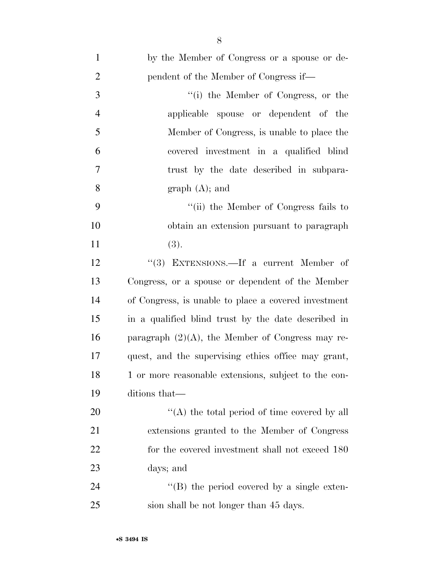| $\mathbf{1}$   | by the Member of Congress or a spouse or de-         |
|----------------|------------------------------------------------------|
| $\overline{2}$ | pendent of the Member of Congress if—                |
| 3              | "(i) the Member of Congress, or the                  |
| $\overline{4}$ | applicable spouse or dependent of the                |
| 5              | Member of Congress, is unable to place the           |
| 6              | covered investment in a qualified blind              |
| $\tau$         | trust by the date described in subpara-              |
| 8              | graph (A); and                                       |
| 9              | "(ii) the Member of Congress fails to                |
| 10             | obtain an extension pursuant to paragraph            |
| 11             | (3).                                                 |
| 12             | "(3) EXTENSIONS.—If a current Member of              |
| 13             | Congress, or a spouse or dependent of the Member     |
| 14             | of Congress, is unable to place a covered investment |
| 15             | in a qualified blind trust by the date described in  |
| 16             | paragraph $(2)(A)$ , the Member of Congress may re-  |
| 17             | quest, and the supervising ethics office may grant,  |
| 18             | 1 or more reasonable extensions, subject to the con- |
| 19             | ditions that—                                        |
| 20             | "(A) the total period of time covered by all         |
| 21             | extensions granted to the Member of Congress         |
| 22             | for the covered investment shall not exceed 180      |
| 23             | days; and                                            |
| 24             | $\lq\lq$ (B) the period covered by a single exten-   |
| 25             | sion shall be not longer than 45 days.               |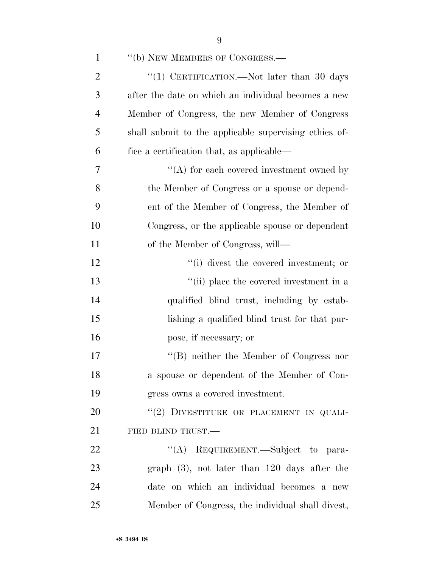| $\mathbf{1}$   | "(b) NEW MEMBERS OF CONGRESS.—                        |
|----------------|-------------------------------------------------------|
| $\overline{2}$ | "(1) CERTIFICATION.—Not later than 30 days            |
| 3              | after the date on which an individual becomes a new   |
| $\overline{4}$ | Member of Congress, the new Member of Congress        |
| 5              | shall submit to the applicable supervising ethics of- |
| 6              | fice a certification that, as applicable—             |
| 7              | $\lq\lq$ for each covered investment owned by         |
| 8              | the Member of Congress or a spouse or depend-         |
| 9              | ent of the Member of Congress, the Member of          |
| 10             | Congress, or the applicable spouse or dependent       |
| 11             | of the Member of Congress, will—                      |
| 12             | "(i) divest the covered investment; or                |
| 13             | "(ii) place the covered investment in a               |
| 14             | qualified blind trust, including by estab-            |
| 15             | lishing a qualified blind trust for that pur-         |
| 16             | pose, if necessary; or                                |
| 17             | $\lq\lq (B)$ neither the Member of Congress nor       |
| 18             | a spouse or dependent of the Member of Con-           |
| 19             | gress owns a covered investment.                      |
| 20             | "(2) DIVESTITURE OR PLACEMENT IN QUALI-               |
| 21             | FIED BLIND TRUST.                                     |
| 22             | "(A) REQUIREMENT.—Subject to para-                    |
| 23             | graph $(3)$ , not later than 120 days after the       |
| 24             | date on which an individual becomes a new             |
| 25             | Member of Congress, the individual shall divest,      |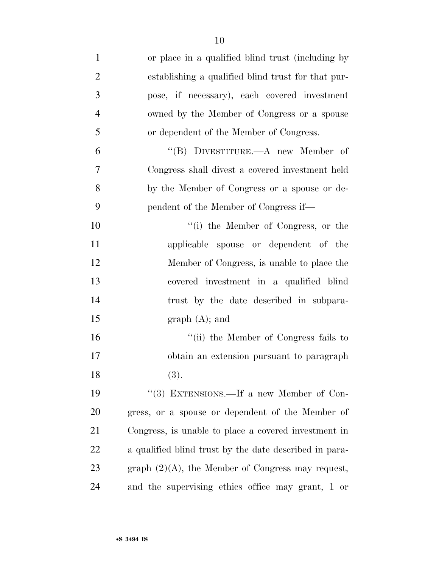| $\mathbf{1}$   | or place in a qualified blind trust (including by      |
|----------------|--------------------------------------------------------|
| $\overline{2}$ | establishing a qualified blind trust for that pur-     |
| 3              | pose, if necessary), each covered investment           |
| $\overline{4}$ | owned by the Member of Congress or a spouse            |
| 5              | or dependent of the Member of Congress.                |
| 6              | "(B) DIVESTITURE.— $A$ new Member of                   |
| 7              | Congress shall divest a covered investment held        |
| 8              | by the Member of Congress or a spouse or de-           |
| 9              | pendent of the Member of Congress if—                  |
| 10             | "(i) the Member of Congress, or the                    |
| 11             | applicable spouse or dependent of the                  |
| 12             | Member of Congress, is unable to place the             |
| 13             | covered investment in a qualified blind                |
| 14             | trust by the date described in subpara-                |
| 15             | graph (A); and                                         |
| 16             | "(ii) the Member of Congress fails to                  |
| 17             | obtain an extension pursuant to paragraph              |
| 18             | (3).                                                   |
| 19             | "(3) EXTENSIONS.—If a new Member of Con-               |
| 20             | gress, or a spouse or dependent of the Member of       |
| 21             | Congress, is unable to place a covered investment in   |
| 22             | a qualified blind trust by the date described in para- |
| 23             | graph $(2)(A)$ , the Member of Congress may request,   |
| 24             | and the supervising ethics office may grant, 1 or      |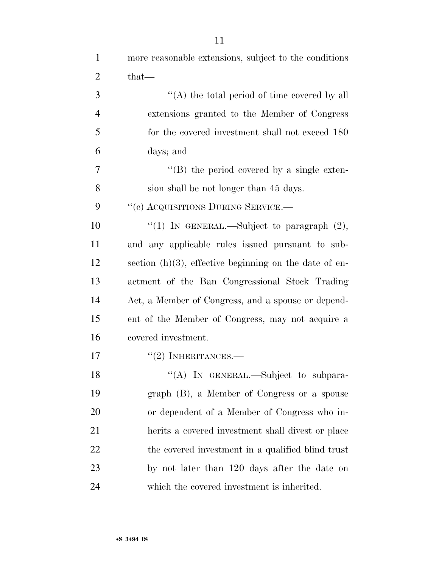| $\mathbf{1}$   | more reasonable extensions, subject to the conditions     |
|----------------|-----------------------------------------------------------|
| $\overline{2}$ | that—                                                     |
| 3              | "(A) the total period of time covered by all              |
| $\overline{4}$ | extensions granted to the Member of Congress              |
| 5              | for the covered investment shall not exceed 180           |
| 6              | days; and                                                 |
| 7              | $\lq\lq (B)$ the period covered by a single exten-        |
| 8              | sion shall be not longer than 45 days.                    |
| 9              | "(c) ACQUISITIONS DURING SERVICE.—                        |
| 10             | "(1) IN GENERAL.—Subject to paragraph $(2)$ ,             |
| 11             | and any applicable rules issued pursuant to sub-          |
| 12             | section $(h)(3)$ , effective beginning on the date of en- |
| 13             | actment of the Ban Congressional Stock Trading            |
| 14             | Act, a Member of Congress, and a spouse or depend-        |
| 15             | ent of the Member of Congress, may not acquire a          |
| 16             | covered investment.                                       |
| 17             | $``(2)$ INHERITANCES.—                                    |
| 18             | "(A) IN GENERAL.—Subject to subpara-                      |
| 19             | graph (B), a Member of Congress or a spouse               |
| 20             | or dependent of a Member of Congress who in-              |
| 21             | herits a covered investment shall divest or place         |
| 22             | the covered investment in a qualified blind trust         |
| 23             | by not later than 120 days after the date on              |
| 24             | which the covered investment is inherited.                |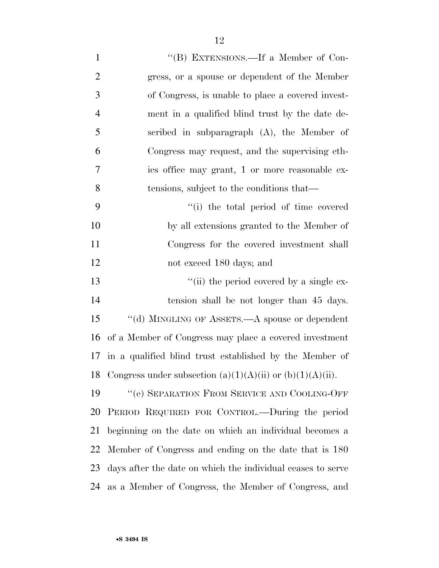| $\mathbf{1}$   | "(B) EXTENSIONS.—If a Member of Con-                              |
|----------------|-------------------------------------------------------------------|
| $\overline{2}$ | gress, or a spouse or dependent of the Member                     |
| 3              | of Congress, is unable to place a covered invest-                 |
| $\overline{4}$ | ment in a qualified blind trust by the date de-                   |
| 5              | scribed in subparagraph $(A)$ , the Member of                     |
| 6              | Congress may request, and the supervising eth-                    |
| 7              | ics office may grant, 1 or more reasonable ex-                    |
| 8              | tensions, subject to the conditions that—                         |
| 9              | "(i) the total period of time covered                             |
| 10             | by all extensions granted to the Member of                        |
| 11             | Congress for the covered investment shall                         |
| 12             | not exceed 180 days; and                                          |
| 13             | "(ii) the period covered by a single ex-                          |
| 14             | tension shall be not longer than 45 days.                         |
| 15             | "(d) MINGLING OF ASSETS.—A spouse or dependent                    |
| 16             | of a Member of Congress may place a covered investment            |
|                | 17 in a qualified blind trust established by the Member of        |
|                | 18 Congress under subsection $(a)(1)(A)(ii)$ or $(b)(1)(A)(ii)$ . |
| 19             | "(e) SEPARATION FROM SERVICE AND COOLING-OFF                      |
| 20             | PERIOD REQUIRED FOR CONTROL.—During the period                    |
| 21             | beginning on the date on which an individual becomes a            |
| 22             | Member of Congress and ending on the date that is 180             |
| 23             | days after the date on which the individual ceases to serve       |
| 24             | as a Member of Congress, the Member of Congress, and              |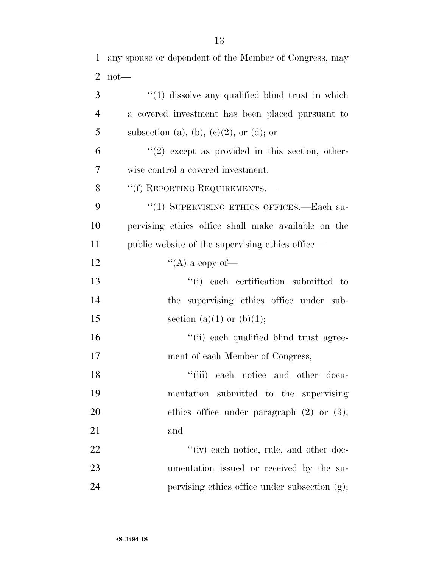| 3              | $\lq(1)$ dissolve any qualified blind trust in which |
|----------------|------------------------------------------------------|
| $\overline{4}$ | a covered investment has been placed pursuant to     |
| 5              | subsection (a), (b), (c)(2), or (d); or              |
| 6              | $(2)$ except as provided in this section, other-     |
| 7              | wise control a covered investment.                   |
| 8              | "(f) REPORTING REQUIREMENTS.—                        |
| 9              | "(1) SUPERVISING ETHICS OFFICES.—Each su-            |
| 10             | pervising ethics office shall make available on the  |
| 11             | public website of the supervising ethics office—     |
| 12             | "(A) a copy of-                                      |
| 13             | "(i) each certification submitted to                 |
| 14             | the supervising ethics office under sub-             |
| 15             | section (a)(1) or (b)(1);                            |
| 16             | "(ii) each qualified blind trust agree-              |
| 17             | ment of each Member of Congress;                     |
| 18             | "(iii) each notice and other docu-                   |
| 19             | mentation submitted to the supervising               |
| 20             | ethics office under paragraph $(2)$ or $(3)$ ;       |
| 21             | and                                                  |
| 22             | "(iv) each notice, rule, and other doc-              |
| 23             | umentation issued or received by the su-             |
| 24             | pervising ethics office under subsection (g);        |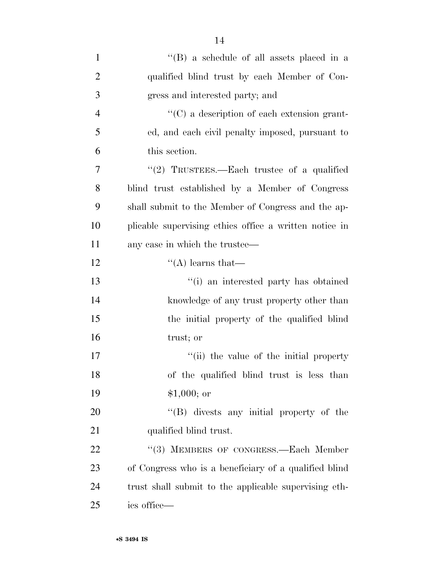| $\mathbf{1}$   | $\lq\lq$ (B) a schedule of all assets placed in a      |
|----------------|--------------------------------------------------------|
| $\overline{2}$ | qualified blind trust by each Member of Con-           |
| 3              | gress and interested party; and                        |
| $\overline{4}$ | "(C) a description of each extension grant-            |
| 5              | ed, and each civil penalty imposed, pursuant to        |
| 6              | this section.                                          |
| 7              | "(2) TRUSTEES.—Each trustee of a qualified             |
| 8              | blind trust established by a Member of Congress        |
| 9              | shall submit to the Member of Congress and the ap-     |
| 10             | plicable supervising ethics office a written notice in |
| 11             | any case in which the trustee—                         |
| 12             | $\lq\lq$ learns that—                                  |
| 13             | "(i) an interested party has obtained                  |
| 14             | knowledge of any trust property other than             |
| 15             | the initial property of the qualified blind            |
| 16             | trust; or                                              |
| 17             | "(ii) the value of the initial property                |
| 18             | of the qualified blind trust is less than              |
| 19             | $$1,000;$ or                                           |
| 20             | $\lq\lq$ divests any initial property of the           |
| 21             | qualified blind trust.                                 |
| 22             | "(3) MEMBERS OF CONGRESS.—Each Member                  |
| 23             | of Congress who is a beneficiary of a qualified blind  |
| 24             | trust shall submit to the applicable supervising eth-  |
| 25             | ics office—                                            |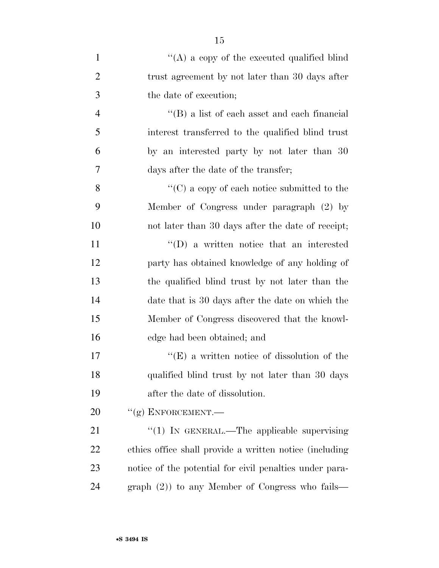| $\mathbf{1}$   | "(A) a copy of the executed qualified blind             |
|----------------|---------------------------------------------------------|
| $\overline{2}$ | trust agreement by not later than 30 days after         |
| 3              | the date of execution;                                  |
| $\overline{4}$ | $\lq\lq$ (B) a list of each asset and each financial    |
| 5              | interest transferred to the qualified blind trust       |
| 6              | by an interested party by not later than 30             |
| 7              | days after the date of the transfer;                    |
| 8              | "(C) a copy of each notice submitted to the             |
| 9              | Member of Congress under paragraph (2) by               |
| 10             | not later than 30 days after the date of receipt;       |
| 11             | $\lq\lq$ (D) a written notice that an interested        |
| 12             | party has obtained knowledge of any holding of          |
| 13             | the qualified blind trust by not later than the         |
| 14             | date that is 30 days after the date on which the        |
| 15             | Member of Congress discovered that the knowl-           |
| 16             | edge had been obtained; and                             |
| 17             | $\lq\lq(E)$ a written notice of dissolution of the      |
| 18             | qualified blind trust by not later than 30 days         |
| 19             | after the date of dissolution.                          |
| 20             | $``(g)$ ENFORCEMENT.—                                   |
| 21             | "(1) IN GENERAL.—The applicable supervising             |
| 22             | ethics office shall provide a written notice (including |
| 23             | notice of the potential for civil penalties under para- |
| 24             | graph $(2)$ ) to any Member of Congress who fails—      |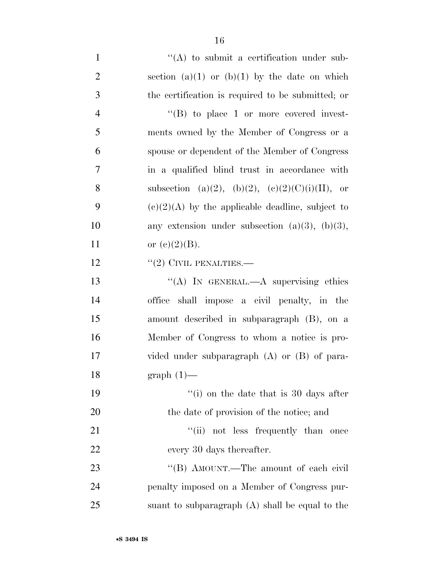1  $\langle (A) \rangle$  to submit a certification under sub-2 section (a)(1) or (b)(1) by the date on which 3 the certification is required to be submitted; or 4  $"$ (B) to place 1 or more covered invest-5 ments owned by the Member of Congress or a 6 spouse or dependent of the Member of Congress 7 in a qualified blind trust in accordance with 8 subsection (a)(2), (b)(2), (c)(2)(C)(i)(II), or 9 (e)(2)(A) by the applicable deadline, subject to 10 any extension under subsection  $(a)(3)$ ,  $(b)(3)$ , 11 or  $(e)(2)(B)$ . 12 "(2) CIVIL PENALTIES.— 13 "(A) IN GENERAL.—A supervising ethics 14 office shall impose a civil penalty, in the 15 amount described in subparagraph (B), on a 16 Member of Congress to whom a notice is pro-17 vided under subparagraph (A) or (B) of para-18 graph (1)— 19 ''(i) on the date that is 30 days after 20 the date of provision of the notice; and 21 ''(ii) not less frequently than once 22 every 30 days thereafter. 23 "'(B) AMOUNT.—The amount of each civil 24 penalty imposed on a Member of Congress pur-25 suant to subparagraph (A) shall be equal to the